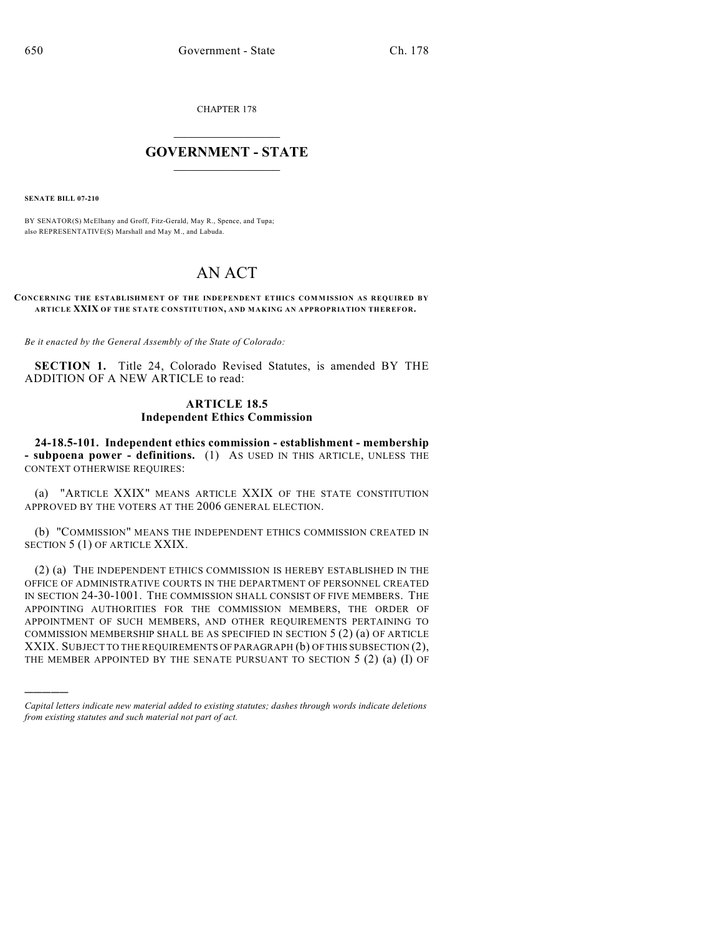CHAPTER 178

## $\mathcal{L}_\text{max}$  . The set of the set of the set of the set of the set of the set of the set of the set of the set of the set of the set of the set of the set of the set of the set of the set of the set of the set of the set **GOVERNMENT - STATE**  $\_$   $\_$   $\_$   $\_$   $\_$   $\_$   $\_$   $\_$

**SENATE BILL 07-210**

)))))

BY SENATOR(S) McElhany and Groff, Fitz-Gerald, May R., Spence, and Tupa; also REPRESENTATIVE(S) Marshall and May M., and Labuda.

# AN ACT

#### **CONCERNING THE ESTABLISHMENT OF THE INDEPENDENT ETHICS COM M ISSION AS REQUIRED BY ARTICLE XXIX OF THE STATE CONSTITUTION, AND MAKING AN APPROPRIATION THEREFOR.**

*Be it enacted by the General Assembly of the State of Colorado:*

**SECTION 1.** Title 24, Colorado Revised Statutes, is amended BY THE ADDITION OF A NEW ARTICLE to read:

### **ARTICLE 18.5 Independent Ethics Commission**

**24-18.5-101. Independent ethics commission - establishment - membership - subpoena power - definitions.** (1) AS USED IN THIS ARTICLE, UNLESS THE CONTEXT OTHERWISE REQUIRES:

(a) "ARTICLE XXIX" MEANS ARTICLE XXIX OF THE STATE CONSTITUTION APPROVED BY THE VOTERS AT THE 2006 GENERAL ELECTION.

(b) "COMMISSION" MEANS THE INDEPENDENT ETHICS COMMISSION CREATED IN SECTION 5 (1) OF ARTICLE XXIX.

(2) (a) THE INDEPENDENT ETHICS COMMISSION IS HEREBY ESTABLISHED IN THE OFFICE OF ADMINISTRATIVE COURTS IN THE DEPARTMENT OF PERSONNEL CREATED IN SECTION 24-30-1001. THE COMMISSION SHALL CONSIST OF FIVE MEMBERS. THE APPOINTING AUTHORITIES FOR THE COMMISSION MEMBERS, THE ORDER OF APPOINTMENT OF SUCH MEMBERS, AND OTHER REQUIREMENTS PERTAINING TO COMMISSION MEMBERSHIP SHALL BE AS SPECIFIED IN SECTION 5 (2) (a) OF ARTICLE XXIX. SUBJECT TO THE REQUIREMENTS OF PARAGRAPH (b) OF THIS SUBSECTION (2), THE MEMBER APPOINTED BY THE SENATE PURSUANT TO SECTION  $5$  (2) (a) (I) OF

*Capital letters indicate new material added to existing statutes; dashes through words indicate deletions from existing statutes and such material not part of act.*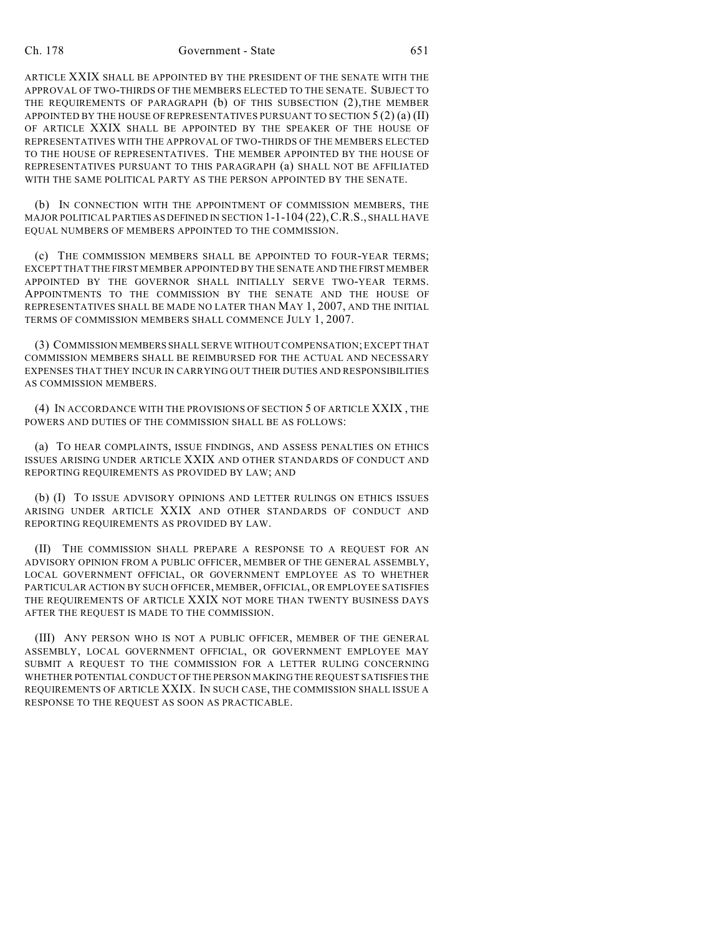#### Ch. 178 Government - State 651

ARTICLE XXIX SHALL BE APPOINTED BY THE PRESIDENT OF THE SENATE WITH THE APPROVAL OF TWO-THIRDS OF THE MEMBERS ELECTED TO THE SENATE. SUBJECT TO THE REQUIREMENTS OF PARAGRAPH (b) OF THIS SUBSECTION (2),THE MEMBER APPOINTED BY THE HOUSE OF REPRESENTATIVES PURSUANT TO SECTION  $5(2)$  (a) (II) OF ARTICLE XXIX SHALL BE APPOINTED BY THE SPEAKER OF THE HOUSE OF REPRESENTATIVES WITH THE APPROVAL OF TWO-THIRDS OF THE MEMBERS ELECTED TO THE HOUSE OF REPRESENTATIVES. THE MEMBER APPOINTED BY THE HOUSE OF REPRESENTATIVES PURSUANT TO THIS PARAGRAPH (a) SHALL NOT BE AFFILIATED WITH THE SAME POLITICAL PARTY AS THE PERSON APPOINTED BY THE SENATE.

(b) IN CONNECTION WITH THE APPOINTMENT OF COMMISSION MEMBERS, THE MAJOR POLITICAL PARTIES AS DEFINED IN SECTION 1-1-104 (22),C.R.S., SHALL HAVE EQUAL NUMBERS OF MEMBERS APPOINTED TO THE COMMISSION.

(c) THE COMMISSION MEMBERS SHALL BE APPOINTED TO FOUR-YEAR TERMS; EXCEPT THAT THE FIRST MEMBER APPOINTED BY THE SENATE AND THE FIRST MEMBER APPOINTED BY THE GOVERNOR SHALL INITIALLY SERVE TWO-YEAR TERMS. APPOINTMENTS TO THE COMMISSION BY THE SENATE AND THE HOUSE OF REPRESENTATIVES SHALL BE MADE NO LATER THAN MAY 1, 2007, AND THE INITIAL TERMS OF COMMISSION MEMBERS SHALL COMMENCE JULY 1, 2007.

(3) COMMISSION MEMBERS SHALL SERVE WITHOUT COMPENSATION; EXCEPT THAT COMMISSION MEMBERS SHALL BE REIMBURSED FOR THE ACTUAL AND NECESSARY EXPENSES THAT THEY INCUR IN CARRYING OUT THEIR DUTIES AND RESPONSIBILITIES AS COMMISSION MEMBERS.

(4) IN ACCORDANCE WITH THE PROVISIONS OF SECTION 5 OF ARTICLE XXIX , THE POWERS AND DUTIES OF THE COMMISSION SHALL BE AS FOLLOWS:

(a) TO HEAR COMPLAINTS, ISSUE FINDINGS, AND ASSESS PENALTIES ON ETHICS ISSUES ARISING UNDER ARTICLE XXIX AND OTHER STANDARDS OF CONDUCT AND REPORTING REQUIREMENTS AS PROVIDED BY LAW; AND

(b) (I) TO ISSUE ADVISORY OPINIONS AND LETTER RULINGS ON ETHICS ISSUES ARISING UNDER ARTICLE XXIX AND OTHER STANDARDS OF CONDUCT AND REPORTING REQUIREMENTS AS PROVIDED BY LAW.

(II) THE COMMISSION SHALL PREPARE A RESPONSE TO A REQUEST FOR AN ADVISORY OPINION FROM A PUBLIC OFFICER, MEMBER OF THE GENERAL ASSEMBLY, LOCAL GOVERNMENT OFFICIAL, OR GOVERNMENT EMPLOYEE AS TO WHETHER PARTICULAR ACTION BY SUCH OFFICER, MEMBER, OFFICIAL, OR EMPLOYEE SATISFIES THE REQUIREMENTS OF ARTICLE XXIX NOT MORE THAN TWENTY BUSINESS DAYS AFTER THE REQUEST IS MADE TO THE COMMISSION.

(III) ANY PERSON WHO IS NOT A PUBLIC OFFICER, MEMBER OF THE GENERAL ASSEMBLY, LOCAL GOVERNMENT OFFICIAL, OR GOVERNMENT EMPLOYEE MAY SUBMIT A REQUEST TO THE COMMISSION FOR A LETTER RULING CONCERNING WHETHER POTENTIAL CONDUCT OF THE PERSON MAKING THE REQUEST SATISFIES THE REQUIREMENTS OF ARTICLE XXIX. IN SUCH CASE, THE COMMISSION SHALL ISSUE A RESPONSE TO THE REQUEST AS SOON AS PRACTICABLE.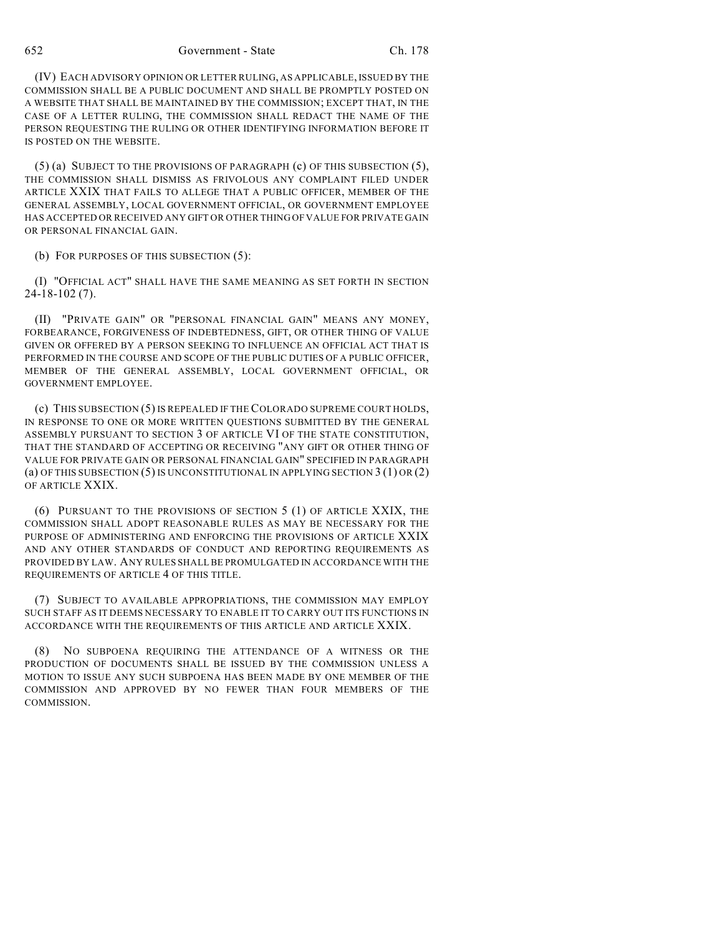652 Government - State Ch. 178

(IV) EACH ADVISORY OPINION OR LETTER RULING, AS APPLICABLE, ISSUED BY THE COMMISSION SHALL BE A PUBLIC DOCUMENT AND SHALL BE PROMPTLY POSTED ON A WEBSITE THAT SHALL BE MAINTAINED BY THE COMMISSION; EXCEPT THAT, IN THE CASE OF A LETTER RULING, THE COMMISSION SHALL REDACT THE NAME OF THE PERSON REQUESTING THE RULING OR OTHER IDENTIFYING INFORMATION BEFORE IT IS POSTED ON THE WEBSITE.

 $(5)$  (a) SUBJECT TO THE PROVISIONS OF PARAGRAPH (c) OF THIS SUBSECTION  $(5)$ , THE COMMISSION SHALL DISMISS AS FRIVOLOUS ANY COMPLAINT FILED UNDER ARTICLE XXIX THAT FAILS TO ALLEGE THAT A PUBLIC OFFICER, MEMBER OF THE GENERAL ASSEMBLY, LOCAL GOVERNMENT OFFICIAL, OR GOVERNMENT EMPLOYEE HAS ACCEPTED OR RECEIVED ANY GIFT OR OTHER THING OF VALUE FOR PRIVATE GAIN OR PERSONAL FINANCIAL GAIN.

(b) FOR PURPOSES OF THIS SUBSECTION (5):

(I) "OFFICIAL ACT" SHALL HAVE THE SAME MEANING AS SET FORTH IN SECTION 24-18-102 (7).

(II) "PRIVATE GAIN" OR "PERSONAL FINANCIAL GAIN" MEANS ANY MONEY, FORBEARANCE, FORGIVENESS OF INDEBTEDNESS, GIFT, OR OTHER THING OF VALUE GIVEN OR OFFERED BY A PERSON SEEKING TO INFLUENCE AN OFFICIAL ACT THAT IS PERFORMED IN THE COURSE AND SCOPE OF THE PUBLIC DUTIES OF A PUBLIC OFFICER, MEMBER OF THE GENERAL ASSEMBLY, LOCAL GOVERNMENT OFFICIAL, OR GOVERNMENT EMPLOYEE.

(c) THIS SUBSECTION (5) IS REPEALED IF THE COLORADO SUPREME COURT HOLDS, IN RESPONSE TO ONE OR MORE WRITTEN QUESTIONS SUBMITTED BY THE GENERAL ASSEMBLY PURSUANT TO SECTION 3 OF ARTICLE VI OF THE STATE CONSTITUTION, THAT THE STANDARD OF ACCEPTING OR RECEIVING "ANY GIFT OR OTHER THING OF VALUE FOR PRIVATE GAIN OR PERSONAL FINANCIAL GAIN" SPECIFIED IN PARAGRAPH (a) OF THIS SUBSECTION (5) IS UNCONSTITUTIONAL IN APPLYING SECTION  $3(1)$  OR (2) OF ARTICLE XXIX.

(6) PURSUANT TO THE PROVISIONS OF SECTION 5 (1) OF ARTICLE XXIX, THE COMMISSION SHALL ADOPT REASONABLE RULES AS MAY BE NECESSARY FOR THE PURPOSE OF ADMINISTERING AND ENFORCING THE PROVISIONS OF ARTICLE XXIX AND ANY OTHER STANDARDS OF CONDUCT AND REPORTING REQUIREMENTS AS PROVIDED BY LAW. ANY RULES SHALL BE PROMULGATED IN ACCORDANCE WITH THE REQUIREMENTS OF ARTICLE 4 OF THIS TITLE.

(7) SUBJECT TO AVAILABLE APPROPRIATIONS, THE COMMISSION MAY EMPLOY SUCH STAFF AS IT DEEMS NECESSARY TO ENABLE IT TO CARRY OUT ITS FUNCTIONS IN ACCORDANCE WITH THE REQUIREMENTS OF THIS ARTICLE AND ARTICLE XXIX.

(8) NO SUBPOENA REQUIRING THE ATTENDANCE OF A WITNESS OR THE PRODUCTION OF DOCUMENTS SHALL BE ISSUED BY THE COMMISSION UNLESS A MOTION TO ISSUE ANY SUCH SUBPOENA HAS BEEN MADE BY ONE MEMBER OF THE COMMISSION AND APPROVED BY NO FEWER THAN FOUR MEMBERS OF THE COMMISSION.